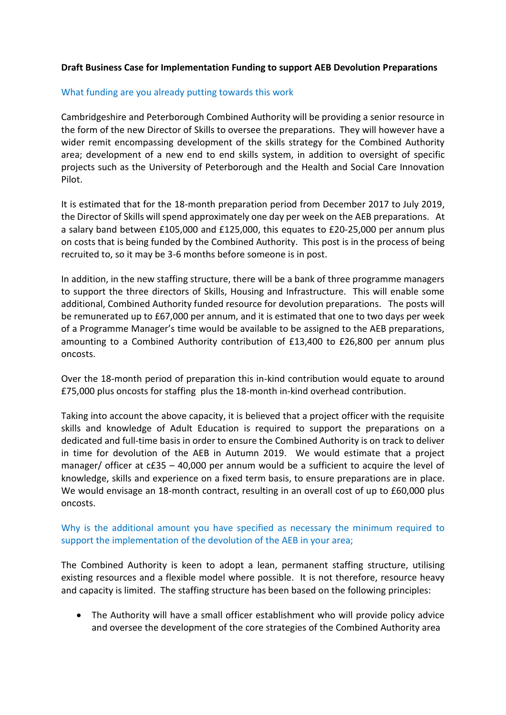## **Draft Business Case for Implementation Funding to support AEB Devolution Preparations**

## What funding are you already putting towards this work

Cambridgeshire and Peterborough Combined Authority will be providing a senior resource in the form of the new Director of Skills to oversee the preparations. They will however have a wider remit encompassing development of the skills strategy for the Combined Authority area; development of a new end to end skills system, in addition to oversight of specific projects such as the University of Peterborough and the Health and Social Care Innovation Pilot.

It is estimated that for the 18-month preparation period from December 2017 to July 2019, the Director of Skills will spend approximately one day per week on the AEB preparations. At a salary band between £105,000 and £125,000, this equates to £20-25,000 per annum plus on costs that is being funded by the Combined Authority. This post is in the process of being recruited to, so it may be 3-6 months before someone is in post.

In addition, in the new staffing structure, there will be a bank of three programme managers to support the three directors of Skills, Housing and Infrastructure. This will enable some additional, Combined Authority funded resource for devolution preparations. The posts will be remunerated up to £67,000 per annum, and it is estimated that one to two days per week of a Programme Manager's time would be available to be assigned to the AEB preparations, amounting to a Combined Authority contribution of £13,400 to £26,800 per annum plus oncosts.

Over the 18-month period of preparation this in-kind contribution would equate to around £75,000 plus oncosts for staffing plus the 18-month in-kind overhead contribution.

Taking into account the above capacity, it is believed that a project officer with the requisite skills and knowledge of Adult Education is required to support the preparations on a dedicated and full-time basis in order to ensure the Combined Authority is on track to deliver in time for devolution of the AEB in Autumn 2019. We would estimate that a project manager/ officer at c£35 – 40,000 per annum would be a sufficient to acquire the level of knowledge, skills and experience on a fixed term basis, to ensure preparations are in place. We would envisage an 18-month contract, resulting in an overall cost of up to £60,000 plus oncosts.

## Why is the additional amount you have specified as necessary the minimum required to support the implementation of the devolution of the AEB in your area;

The Combined Authority is keen to adopt a lean, permanent staffing structure, utilising existing resources and a flexible model where possible. It is not therefore, resource heavy and capacity is limited. The staffing structure has been based on the following principles:

• The Authority will have a small officer establishment who will provide policy advice and oversee the development of the core strategies of the Combined Authority area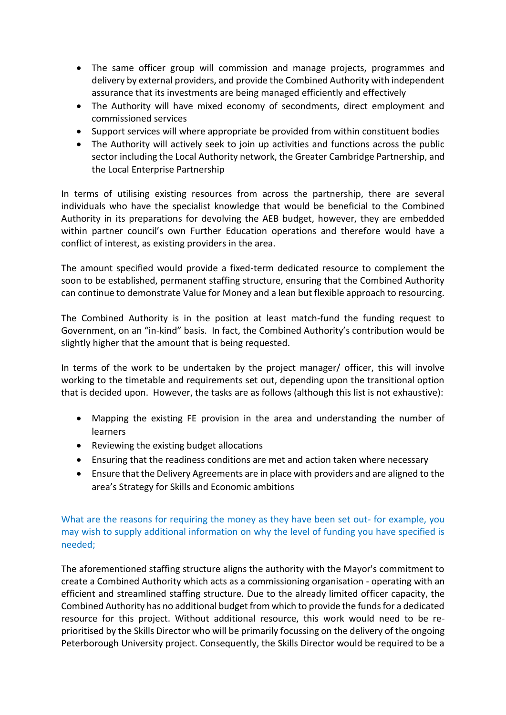- The same officer group will commission and manage projects, programmes and delivery by external providers, and provide the Combined Authority with independent assurance that its investments are being managed efficiently and effectively
- The Authority will have mixed economy of secondments, direct employment and commissioned services
- Support services will where appropriate be provided from within constituent bodies
- The Authority will actively seek to join up activities and functions across the public sector including the Local Authority network, the Greater Cambridge Partnership, and the Local Enterprise Partnership

In terms of utilising existing resources from across the partnership, there are several individuals who have the specialist knowledge that would be beneficial to the Combined Authority in its preparations for devolving the AEB budget, however, they are embedded within partner council's own Further Education operations and therefore would have a conflict of interest, as existing providers in the area.

The amount specified would provide a fixed-term dedicated resource to complement the soon to be established, permanent staffing structure, ensuring that the Combined Authority can continue to demonstrate Value for Money and a lean but flexible approach to resourcing.

The Combined Authority is in the position at least match-fund the funding request to Government, on an "in-kind" basis. In fact, the Combined Authority's contribution would be slightly higher that the amount that is being requested.

In terms of the work to be undertaken by the project manager/ officer, this will involve working to the timetable and requirements set out, depending upon the transitional option that is decided upon. However, the tasks are as follows (although this list is not exhaustive):

- Mapping the existing FE provision in the area and understanding the number of learners
- Reviewing the existing budget allocations
- Ensuring that the readiness conditions are met and action taken where necessary
- Ensure that the Delivery Agreements are in place with providers and are aligned to the area's Strategy for Skills and Economic ambitions

What are the reasons for requiring the money as they have been set out- for example, you may wish to supply additional information on why the level of funding you have specified is needed;

The aforementioned staffing structure aligns the authority with the Mayor's commitment to create a Combined Authority which acts as a commissioning organisation - operating with an efficient and streamlined staffing structure. Due to the already limited officer capacity, the Combined Authority has no additional budget from which to provide the funds for a dedicated resource for this project. Without additional resource, this work would need to be reprioritised by the Skills Director who will be primarily focussing on the delivery of the ongoing Peterborough University project. Consequently, the Skills Director would be required to be a